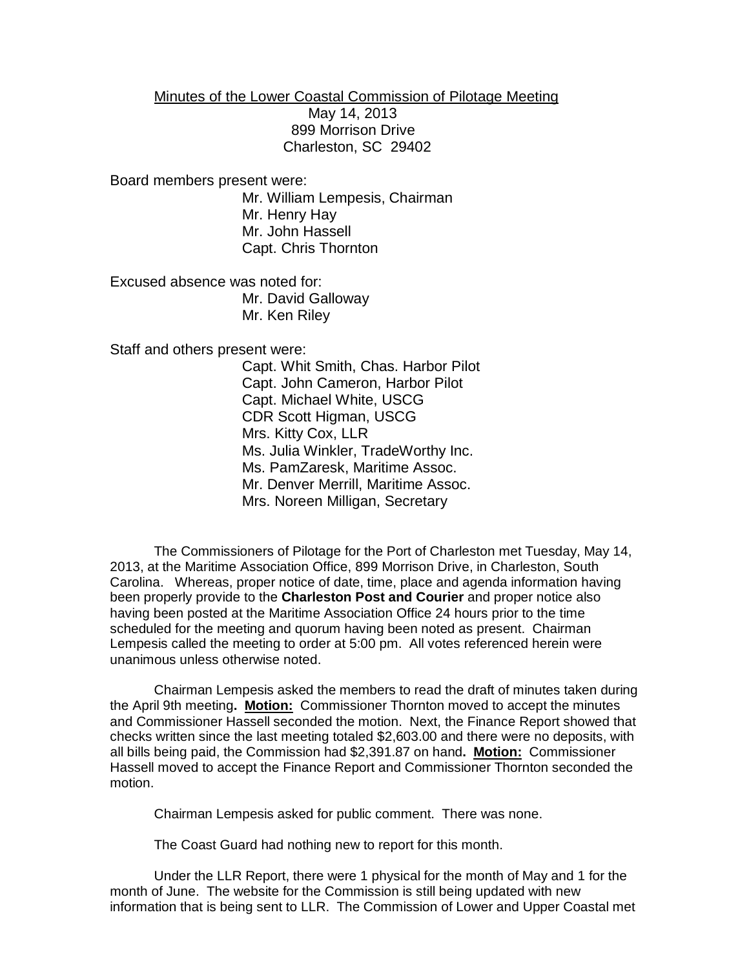Minutes of the Lower Coastal Commission of Pilotage Meeting

 May 14, 2013 899 Morrison Drive Charleston, SC 29402

Board members present were:

Mr. William Lempesis, Chairman Mr. Henry Hay Mr. John Hassell Capt. Chris Thornton

Excused absence was noted for: Mr. David Galloway Mr. Ken Riley

Staff and others present were:

Capt. Whit Smith, Chas. Harbor Pilot Capt. John Cameron, Harbor Pilot Capt. Michael White, USCG CDR Scott Higman, USCG Mrs. Kitty Cox, LLR Ms. Julia Winkler, TradeWorthy Inc. Ms. PamZaresk, Maritime Assoc. Mr. Denver Merrill, Maritime Assoc. Mrs. Noreen Milligan, Secretary

The Commissioners of Pilotage for the Port of Charleston met Tuesday, May 14, 2013, at the Maritime Association Office, 899 Morrison Drive, in Charleston, South Carolina. Whereas, proper notice of date, time, place and agenda information having been properly provide to the **Charleston Post and Courier** and proper notice also having been posted at the Maritime Association Office 24 hours prior to the time scheduled for the meeting and quorum having been noted as present. Chairman Lempesis called the meeting to order at 5:00 pm. All votes referenced herein were unanimous unless otherwise noted.

Chairman Lempesis asked the members to read the draft of minutes taken during the April 9th meeting**. Motion:** Commissioner Thornton moved to accept the minutes and Commissioner Hassell seconded the motion. Next, the Finance Report showed that checks written since the last meeting totaled \$2,603.00 and there were no deposits, with all bills being paid, the Commission had \$2,391.87 on hand**. Motion:** Commissioner Hassell moved to accept the Finance Report and Commissioner Thornton seconded the motion.

Chairman Lempesis asked for public comment. There was none.

The Coast Guard had nothing new to report for this month.

Under the LLR Report, there were 1 physical for the month of May and 1 for the month of June. The website for the Commission is still being updated with new information that is being sent to LLR. The Commission of Lower and Upper Coastal met